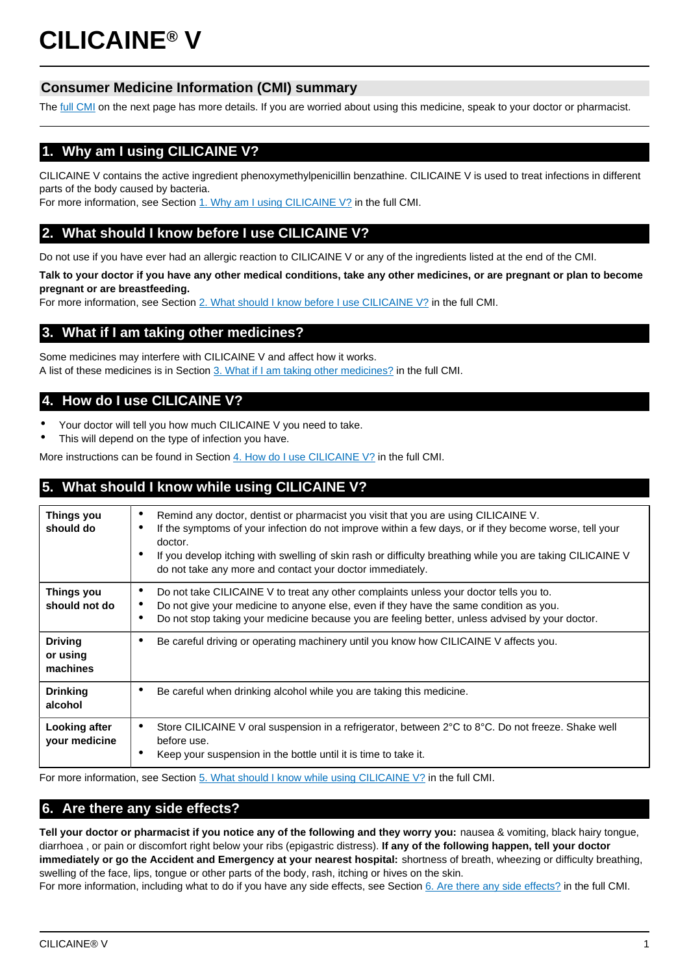# **CILICAINE® V**

# **Consumer Medicine Information (CMI) summary**

The [full CMI](#page-1-0) on the next page has more details. If you are worried about using this medicine, speak to your doctor or pharmacist.

# **1. Why am I using CILICAINE V?**

CILICAINE V contains the active ingredient phenoxymethylpenicillin benzathine. CILICAINE V is used to treat infections in different parts of the body caused by bacteria.

For more information, see Section [1. Why am I using CILICAINE V?](#page-1-1) in the full CMI.

## **2. What should I know before I use CILICAINE V?**

Do not use if you have ever had an allergic reaction to CILICAINE V or any of the ingredients listed at the end of the CMI.

**Talk to your doctor if you have any other medical conditions, take any other medicines, or are pregnant or plan to become pregnant or are breastfeeding.** 

For more information, see Section [2. What should I know before I use CILICAINE V?](#page-1-2) in the full CMI.

## **3. What if I am taking other medicines?**

Some medicines may interfere with CILICAINE V and affect how it works. A list of these medicines is in Section [3. What if I am taking other medicines?](#page-1-3) in the full CMI.

# **4. How do I use CILICAINE V?**

- Your doctor will tell you how much CILICAINE V you need to take.
- This will depend on the type of infection you have.

More instructions can be found in Section [4. How do I use CILICAINE V?](#page-1-4) in the full CMI.

# **5. What should I know while using CILICAINE V?**

| Things you<br>should do                | Remind any doctor, dentist or pharmacist you visit that you are using CILICAINE V.<br>$\bullet$<br>If the symptoms of your infection do not improve within a few days, or if they become worse, tell your<br>$\bullet$<br>doctor.<br>If you develop itching with swelling of skin rash or difficulty breathing while you are taking CILICAINE V<br>٠<br>do not take any more and contact your doctor immediately. |
|----------------------------------------|-------------------------------------------------------------------------------------------------------------------------------------------------------------------------------------------------------------------------------------------------------------------------------------------------------------------------------------------------------------------------------------------------------------------|
| Things you<br>should not do            | Do not take CILICAINE V to treat any other complaints unless your doctor tells you to.<br>٠<br>Do not give your medicine to anyone else, even if they have the same condition as you.<br>٠<br>Do not stop taking your medicine because you are feeling better, unless advised by your doctor.<br>٠                                                                                                                |
| <b>Driving</b><br>or using<br>machines | Be careful driving or operating machinery until you know how CILICAINE V affects you.<br>٠                                                                                                                                                                                                                                                                                                                        |
| <b>Drinking</b><br>alcohol             | Be careful when drinking alcohol while you are taking this medicine.<br>٠                                                                                                                                                                                                                                                                                                                                         |
| <b>Looking after</b><br>your medicine  | Store CILICAINE V oral suspension in a refrigerator, between 2°C to 8°C. Do not freeze. Shake well<br>$\bullet$<br>before use.<br>Keep your suspension in the bottle until it is time to take it.<br>٠                                                                                                                                                                                                            |

For more information, see Section [5. What should I know while using CILICAINE V?](#page-2-0) in the full CMI.

## **6. Are there any side effects?**

**Tell your doctor or pharmacist if you notice any of the following and they worry you:** nausea & vomiting, black hairy tongue, diarrhoea , or pain or discomfort right below your ribs (epigastric distress). **If any of the following happen, tell your doctor immediately or go the Accident and Emergency at your nearest hospital:** shortness of breath, wheezing or difficulty breathing, swelling of the face, lips, tongue or other parts of the body, rash, itching or hives on the skin.

For more information, including what to do if you have any side effects, see Section [6. Are there any side effects?](#page-3-0) in the full CMI.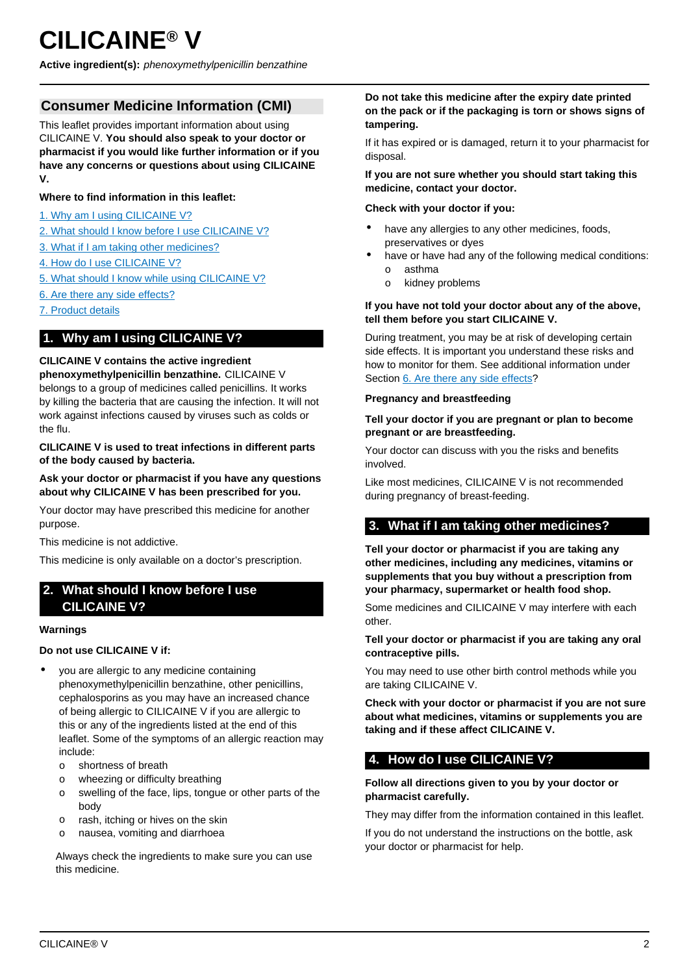<span id="page-1-0"></span>**Active ingredient(s):** phenoxymethylpenicillin benzathine

## **Consumer Medicine Information (CMI)**

This leaflet provides important information about using CILICAINE V. **You should also speak to your doctor or pharmacist if you would like further information or if you have any concerns or questions about using CILICAINE V.**

#### **Where to find information in this leaflet:**

- [1. Why am I using CILICAINE V?](#page-1-1)
- [2. What should I know before I use CILICAINE V?](#page-1-2)
- [3. What if I am taking other medicines?](#page-1-3)
- [4. How do I use CILICAINE V?](#page-1-4)
- [5. What should I know while using CILICAINE V?](#page-2-0)
- [6. Are there any side effects?](#page-3-0)
- [7. Product details](#page-3-1)

## <span id="page-1-1"></span>**1. Why am I using CILICAINE V?**

#### **CILICAINE V contains the active ingredient**

**phenoxymethylpenicillin benzathine.** CILICAINE V belongs to a group of medicines called penicillins. It works by killing the bacteria that are causing the infection. It will not work against infections caused by viruses such as colds or the flu.

#### **CILICAINE V is used to treat infections in different parts of the body caused by bacteria.**

#### **Ask your doctor or pharmacist if you have any questions about why CILICAINE V has been prescribed for you.**

Your doctor may have prescribed this medicine for another purpose.

This medicine is not addictive.

This medicine is only available on a doctor's prescription.

## <span id="page-1-2"></span>**2. What should I know before I use CILICAINE V?**

#### **Warnings**

#### **Do not use CILICAINE V if:**

- you are allergic to any medicine containing phenoxymethylpenicillin benzathine, other penicillins, cephalosporins as you may have an increased chance of being allergic to CILICAINE V if you are allergic to this or any of the ingredients listed at the end of this leaflet. Some of the symptoms of an allergic reaction may include:
	- o shortness of breath
	- o wheezing or difficulty breathing
	- o swelling of the face, lips, tongue or other parts of the body
	- o rash, itching or hives on the skin
	- o nausea, vomiting and diarrhoea

Always check the ingredients to make sure you can use this medicine.

#### **Do not take this medicine after the expiry date printed on the pack or if the packaging is torn or shows signs of tampering.**

If it has expired or is damaged, return it to your pharmacist for disposal.

#### **If you are not sure whether you should start taking this medicine, contact your doctor.**

#### **Check with your doctor if you:**

- have any allergies to any other medicines, foods, preservatives or dyes
- have or have had any of the following medical conditions:
	- o asthma
	- o kidney problems

#### **If you have not told your doctor about any of the above, tell them before you start CILICAINE V.**

During treatment, you may be at risk of developing certain side effects. It is important you understand these risks and how to monitor for them. See additional information under Section [6. Are there any side effects](#page-3-0)?

#### **Pregnancy and breastfeeding**

#### **Tell your doctor if you are pregnant or plan to become pregnant or are breastfeeding.**

Your doctor can discuss with you the risks and benefits involved.

Like most medicines, CILICAINE V is not recommended during pregnancy of breast-feeding.

## <span id="page-1-3"></span>**3. What if I am taking other medicines?**

**Tell your doctor or pharmacist if you are taking any other medicines, including any medicines, vitamins or supplements that you buy without a prescription from your pharmacy, supermarket or health food shop.**

Some medicines and CILICAINE V may interfere with each other.

#### **Tell your doctor or pharmacist if you are taking any oral contraceptive pills.**

You may need to use other birth control methods while you are taking CILICAINE V.

**Check with your doctor or pharmacist if you are not sure about what medicines, vitamins or supplements you are taking and if these affect CILICAINE V.**

# <span id="page-1-4"></span>**4. How do I use CILICAINE V?**

#### **Follow all directions given to you by your doctor or pharmacist carefully.**

They may differ from the information contained in this leaflet.

If you do not understand the instructions on the bottle, ask your doctor or pharmacist for help.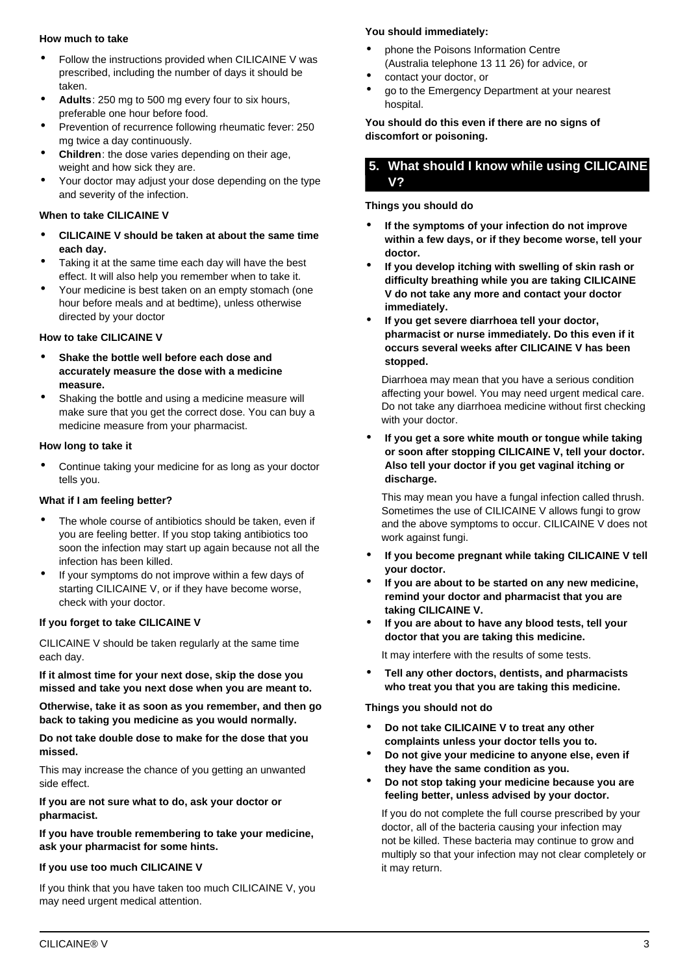#### **How much to take**

- Follow the instructions provided when CILICAINE V was prescribed, including the number of days it should be taken.
- **Adults**: 250 mg to 500 mg every four to six hours, preferable one hour before food.
- Prevention of recurrence following rheumatic fever: 250 mg twice a day continuously.
- **Children**: the dose varies depending on their age, weight and how sick they are.
- Your doctor may adjust your dose depending on the type and severity of the infection.

#### **When to take CILICAINE V**

- **CILICAINE V should be taken at about the same time each day.**
- Taking it at the same time each day will have the best effect. It will also help you remember when to take it.
- Your medicine is best taken on an empty stomach (one hour before meals and at bedtime), unless otherwise directed by your doctor

#### **How to take CILICAINE V**

- **Shake the bottle well before each dose and accurately measure the dose with a medicine measure.**
- Shaking the bottle and using a medicine measure will make sure that you get the correct dose. You can buy a medicine measure from your pharmacist.

#### **How long to take it**

• Continue taking your medicine for as long as your doctor tells you.

#### **What if I am feeling better?**

- The whole course of antibiotics should be taken, even if you are feeling better. If you stop taking antibiotics too soon the infection may start up again because not all the infection has been killed.
- If your symptoms do not improve within a few days of starting CILICAINE V, or if they have become worse, check with your doctor.

#### **If you forget to take CILICAINE V**

CILICAINE V should be taken regularly at the same time each day.

**If it almost time for your next dose, skip the dose you missed and take you next dose when you are meant to.**

**Otherwise, take it as soon as you remember, and then go back to taking you medicine as you would normally.**

**Do not take double dose to make for the dose that you missed.**

This may increase the chance of you getting an unwanted side effect.

**If you are not sure what to do, ask your doctor or pharmacist.**

**If you have trouble remembering to take your medicine, ask your pharmacist for some hints.**

## **If you use too much CILICAINE V**

If you think that you have taken too much CILICAINE V, you may need urgent medical attention.

## **You should immediately:**

- phone the Poisons Information Centre (Australia telephone 13 11 26) for advice, or
- contact your doctor, or
- go to the Emergency Department at your nearest hospital.

**You should do this even if there are no signs of discomfort or poisoning.**

## <span id="page-2-0"></span>**5. What should I know while using CILICAINE V?**

## **Things you should do**

- **If the symptoms of your infection do not improve within a few days, or if they become worse, tell your doctor.**
- **If you develop itching with swelling of skin rash or difficulty breathing while you are taking CILICAINE V do not take any more and contact your doctor immediately.**
- **If you get severe diarrhoea tell your doctor, pharmacist or nurse immediately. Do this even if it occurs several weeks after CILICAINE V has been stopped.**

Diarrhoea may mean that you have a serious condition affecting your bowel. You may need urgent medical care. Do not take any diarrhoea medicine without first checking with your doctor.

• **If you get a sore white mouth or tongue while taking or soon after stopping CILICAINE V, tell your doctor. Also tell your doctor if you get vaginal itching or discharge.**

This may mean you have a fungal infection called thrush. Sometimes the use of CILICAINE V allows fungi to grow and the above symptoms to occur. CILICAINE V does not work against fungi.

- **If you become pregnant while taking CILICAINE V tell your doctor.**
- **If you are about to be started on any new medicine, remind your doctor and pharmacist that you are taking CILICAINE V.**
- **If you are about to have any blood tests, tell your doctor that you are taking this medicine.**

It may interfere with the results of some tests.

• **Tell any other doctors, dentists, and pharmacists who treat you that you are taking this medicine.**

## **Things you should not do**

- **Do not take CILICAINE V to treat any other complaints unless your doctor tells you to.**
- **Do not give your medicine to anyone else, even if they have the same condition as you.**
- **Do not stop taking your medicine because you are feeling better, unless advised by your doctor.**

If you do not complete the full course prescribed by your doctor, all of the bacteria causing your infection may not be killed. These bacteria may continue to grow and multiply so that your infection may not clear completely or it may return.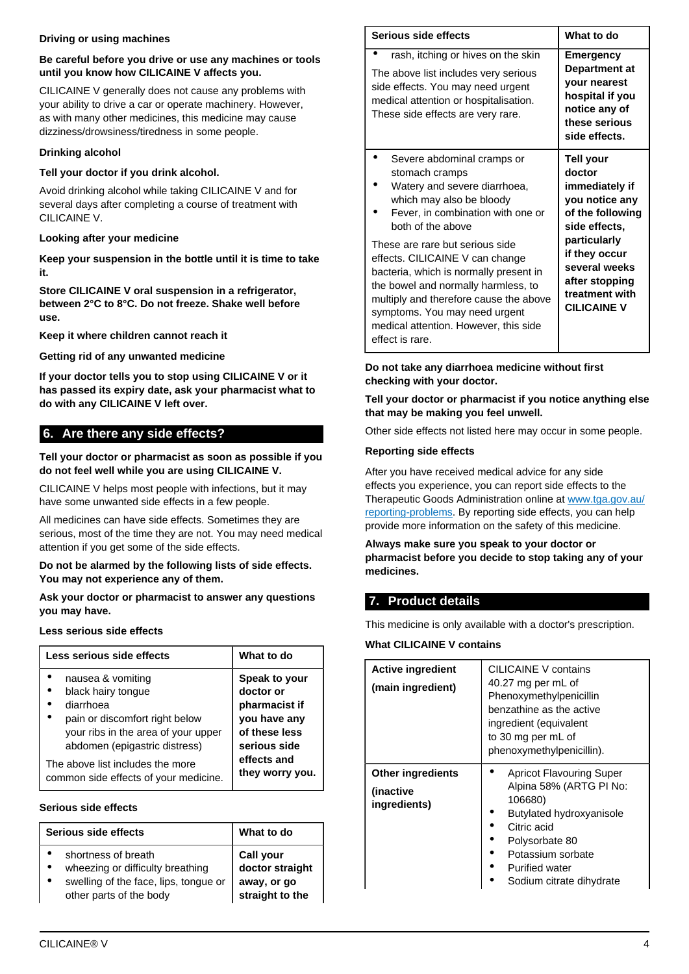#### **Driving or using machines**

#### **Be careful before you drive or use any machines or tools until you know how CILICAINE V affects you.**

CILICAINE V generally does not cause any problems with your ability to drive a car or operate machinery. However, as with many other medicines, this medicine may cause dizziness/drowsiness/tiredness in some people.

## **Drinking alcohol**

## **Tell your doctor if you drink alcohol.**

Avoid drinking alcohol while taking CILICAINE V and for several days after completing a course of treatment with CILICAINE V.

### **Looking after your medicine**

**Keep your suspension in the bottle until it is time to take it.**

**Store CILICAINE V oral suspension in a refrigerator, between 2°C to 8°C. Do not freeze. Shake well before use.**

**Keep it where children cannot reach it**

## **Getting rid of any unwanted medicine**

**If your doctor tells you to stop using CILICAINE V or it has passed its expiry date, ask your pharmacist what to do with any CILICAINE V left over.**

# <span id="page-3-0"></span>**6. Are there any side effects?**

#### **Tell your doctor or pharmacist as soon as possible if you do not feel well while you are using CILICAINE V.**

CILICAINE V helps most people with infections, but it may have some unwanted side effects in a few people.

All medicines can have side effects. Sometimes they are serious, most of the time they are not. You may need medical attention if you get some of the side effects.

**Do not be alarmed by the following lists of side effects. You may not experience any of them.**

**Ask your doctor or pharmacist to answer any questions you may have.**

#### **Less serious side effects**

| Less serious side effects             | What to do      |
|---------------------------------------|-----------------|
| nausea & vomiting                     | Speak to your   |
| black hairy tongue                    | doctor or       |
| diarrhoea                             | pharmacist if   |
| pain or discomfort right below        | you have any    |
| your ribs in the area of your upper   | of these less   |
| abdomen (epigastric distress)         | serious side    |
| The above list includes the more      | effects and     |
| common side effects of your medicine. | they worry you. |

#### **Serious side effects**

| Serious side effects                  | What to do       |
|---------------------------------------|------------------|
| shortness of breath                   | <b>Call your</b> |
| wheezing or difficulty breathing      | doctor straight  |
| swelling of the face, lips, tongue or | away, or go      |
| other parts of the body               | straight to the  |

| Serious side effects                                                                                                                                                                                                                                                                       | What to do                                                                                                              |
|--------------------------------------------------------------------------------------------------------------------------------------------------------------------------------------------------------------------------------------------------------------------------------------------|-------------------------------------------------------------------------------------------------------------------------|
| rash, itching or hives on the skin<br>The above list includes very serious<br>side effects. You may need urgent<br>medical attention or hospitalisation.<br>These side effects are very rare.                                                                                              | <b>Emergency</b><br>Department at<br>your nearest<br>hospital if you<br>notice any of<br>these serious<br>side effects. |
| Severe abdominal cramps or<br>stomach cramps<br>Watery and severe diarrhoea,<br>which may also be bloody<br>Fever, in combination with one or<br>both of the above                                                                                                                         | Tell your<br>doctor<br>immediately if<br>you notice any<br>of the following<br>side effects.                            |
| These are rare but serious side<br>effects. CILICAINE V can change<br>bacteria, which is normally present in<br>the bowel and normally harmless, to<br>multiply and therefore cause the above<br>symptoms. You may need urgent<br>medical attention. However, this side<br>effect is rare. | particularly<br>if they occur<br>several weeks<br>after stopping<br>treatment with<br><b>CILICAINE V</b>                |

#### **Do not take any diarrhoea medicine without first checking with your doctor.**

#### **Tell your doctor or pharmacist if you notice anything else that may be making you feel unwell.**

Other side effects not listed here may occur in some people.

## **Reporting side effects**

After you have received medical advice for any side effects you experience, you can report side effects to the Therapeutic Goods Administration online at [www.tga.gov.au/](http://www.tga.gov.au/reporting-problems) [reporting-problems](http://www.tga.gov.au/reporting-problems). By reporting side effects, you can help provide more information on the safety of this medicine.

**Always make sure you speak to your doctor or pharmacist before you decide to stop taking any of your medicines.**

# <span id="page-3-1"></span>**7. Product details**

This medicine is only available with a doctor's prescription.

## **What CILICAINE V contains**

| <b>Active ingredient</b><br>(main ingredient)         | CILICAINE V contains<br>40.27 mg per mL of<br>Phenoxymethylpenicillin<br>benzathine as the active<br>ingredient (equivalent<br>to 30 mg per mL of<br>phenoxymethylpenicillin).                               |
|-------------------------------------------------------|--------------------------------------------------------------------------------------------------------------------------------------------------------------------------------------------------------------|
| <b>Other ingredients</b><br>(inactive<br>ingredients) | <b>Apricot Flavouring Super</b><br>Alpina 58% (ARTG PI No:<br>106680)<br>Butylated hydroxyanisole<br>Citric acid<br>Polysorbate 80<br>Potassium sorbate<br><b>Purified water</b><br>Sodium citrate dihydrate |